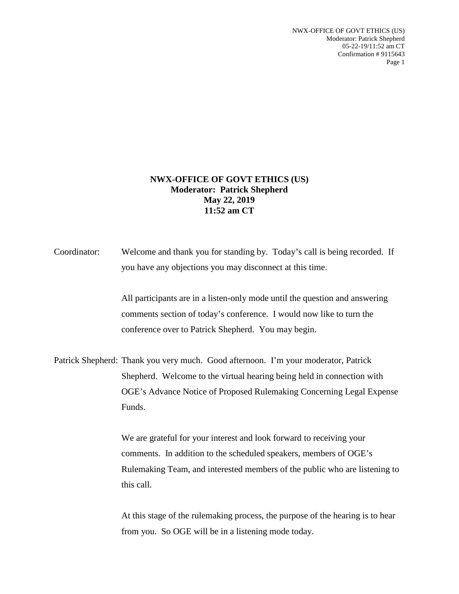NWX-OFFICE OF GOVT ETHICS (US) Moderator: Patrick Shepherd 05-22-19/11:52 am CT Confirmation # 9115643 Page 1

## **NWX-OFFICE OF GOVT ETHICS (US) Moderator: Patrick Shepherd May 22, 2019 11:52 am CT**

Coordinator: Welcome and thank you for standing by. Today's call is being recorded. If you have any objections you may disconnect at this time.

> All participants are in a listen-only mode until the question and answering comments section of today's conference. I would now like to turn the conference over to Patrick Shepherd. You may begin.

Patrick Shepherd: Thank you very much. Good afternoon. I'm your moderator, Patrick Shepherd. Welcome to the virtual hearing being held in connection with OGE's Advance Notice of Proposed Rulemaking Concerning Legal Expense Funds.

> We are grateful for your interest and look forward to receiving your comments. In addition to the scheduled speakers, members of OGE's Rulemaking Team, and interested members of the public who are listening to this call.

At this stage of the rulemaking process, the purpose of the hearing is to hear from you. So OGE will be in a listening mode today.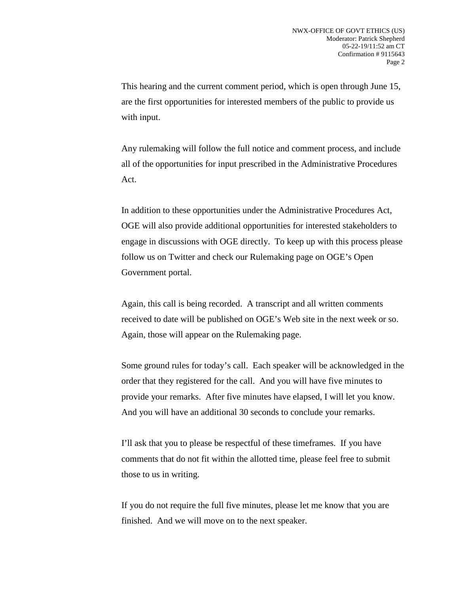This hearing and the current comment period, which is open through June 15, are the first opportunities for interested members of the public to provide us with input.

Any rulemaking will follow the full notice and comment process, and include all of the opportunities for input prescribed in the Administrative Procedures Act.

In addition to these opportunities under the Administrative Procedures Act, OGE will also provide additional opportunities for interested stakeholders to engage in discussions with OGE directly. To keep up with this process please follow us on Twitter and check our Rulemaking page on OGE's Open Government portal.

Again, this call is being recorded. A transcript and all written comments received to date will be published on OGE's Web site in the next week or so. Again, those will appear on the Rulemaking page.

Some ground rules for today's call. Each speaker will be acknowledged in the order that they registered for the call. And you will have five minutes to provide your remarks. After five minutes have elapsed, I will let you know. And you will have an additional 30 seconds to conclude your remarks.

I'll ask that you to please be respectful of these timeframes. If you have comments that do not fit within the allotted time, please feel free to submit those to us in writing.

If you do not require the full five minutes, please let me know that you are finished. And we will move on to the next speaker.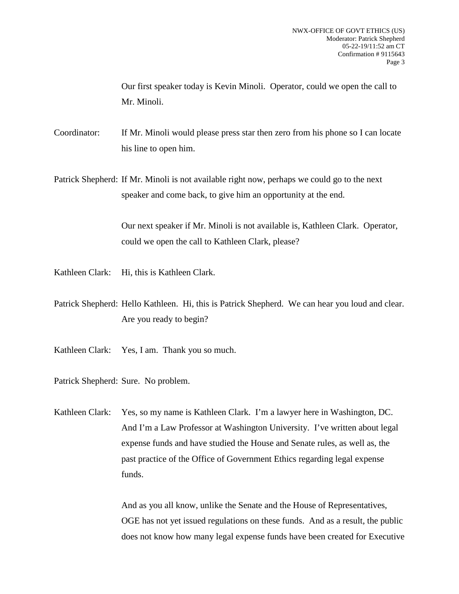Our first speaker today is Kevin Minoli. Operator, could we open the call to Mr. Minoli.

Coordinator: If Mr. Minoli would please press star then zero from his phone so I can locate his line to open him.

Patrick Shepherd: If Mr. Minoli is not available right now, perhaps we could go to the next speaker and come back, to give him an opportunity at the end.

> Our next speaker if Mr. Minoli is not available is, Kathleen Clark. Operator, could we open the call to Kathleen Clark, please?

Kathleen Clark: Hi, this is Kathleen Clark.

Patrick Shepherd: Hello Kathleen. Hi, this is Patrick Shepherd. We can hear you loud and clear. Are you ready to begin?

Kathleen Clark: Yes, I am. Thank you so much.

Patrick Shepherd: Sure. No problem.

Kathleen Clark: Yes, so my name is Kathleen Clark. I'm a lawyer here in Washington, DC. And I'm a Law Professor at Washington University. I've written about legal expense funds and have studied the House and Senate rules, as well as, the past practice of the Office of Government Ethics regarding legal expense funds.

> And as you all know, unlike the Senate and the House of Representatives, OGE has not yet issued regulations on these funds. And as a result, the public does not know how many legal expense funds have been created for Executive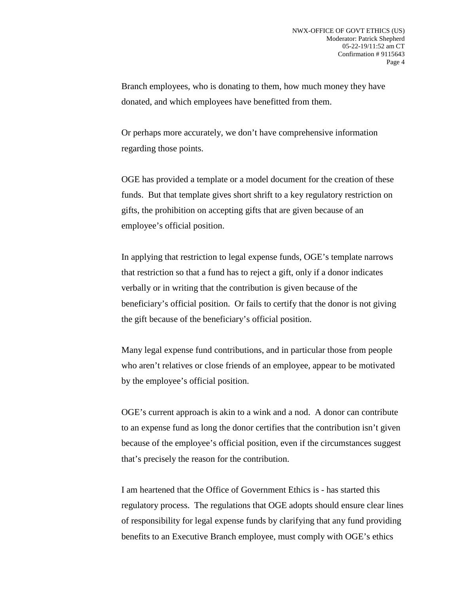Branch employees, who is donating to them, how much money they have donated, and which employees have benefitted from them.

Or perhaps more accurately, we don't have comprehensive information regarding those points.

OGE has provided a template or a model document for the creation of these funds. But that template gives short shrift to a key regulatory restriction on gifts, the prohibition on accepting gifts that are given because of an employee's official position.

In applying that restriction to legal expense funds, OGE's template narrows that restriction so that a fund has to reject a gift, only if a donor indicates verbally or in writing that the contribution is given because of the beneficiary's official position. Or fails to certify that the donor is not giving the gift because of the beneficiary's official position.

Many legal expense fund contributions, and in particular those from people who aren't relatives or close friends of an employee, appear to be motivated by the employee's official position.

OGE's current approach is akin to a wink and a nod. A donor can contribute to an expense fund as long the donor certifies that the contribution isn't given because of the employee's official position, even if the circumstances suggest that's precisely the reason for the contribution.

I am heartened that the Office of Government Ethics is - has started this regulatory process. The regulations that OGE adopts should ensure clear lines of responsibility for legal expense funds by clarifying that any fund providing benefits to an Executive Branch employee, must comply with OGE's ethics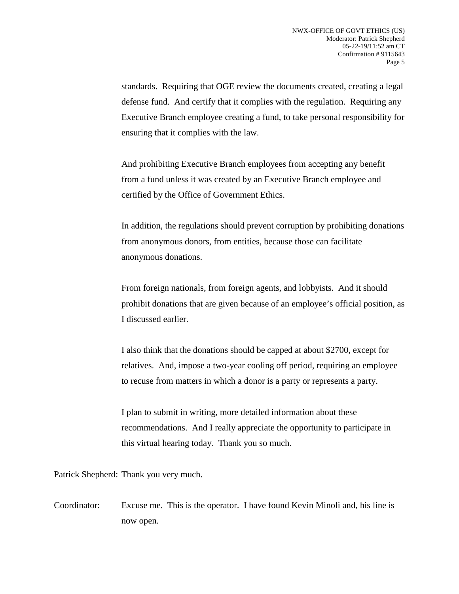standards. Requiring that OGE review the documents created, creating a legal defense fund. And certify that it complies with the regulation. Requiring any Executive Branch employee creating a fund, to take personal responsibility for ensuring that it complies with the law.

And prohibiting Executive Branch employees from accepting any benefit from a fund unless it was created by an Executive Branch employee and certified by the Office of Government Ethics.

In addition, the regulations should prevent corruption by prohibiting donations from anonymous donors, from entities, because those can facilitate anonymous donations.

From foreign nationals, from foreign agents, and lobbyists. And it should prohibit donations that are given because of an employee's official position, as I discussed earlier.

I also think that the donations should be capped at about \$2700, except for relatives. And, impose a two-year cooling off period, requiring an employee to recuse from matters in which a donor is a party or represents a party.

I plan to submit in writing, more detailed information about these recommendations. And I really appreciate the opportunity to participate in this virtual hearing today. Thank you so much.

Patrick Shepherd: Thank you very much.

Coordinator: Excuse me. This is the operator. I have found Kevin Minoli and, his line is now open.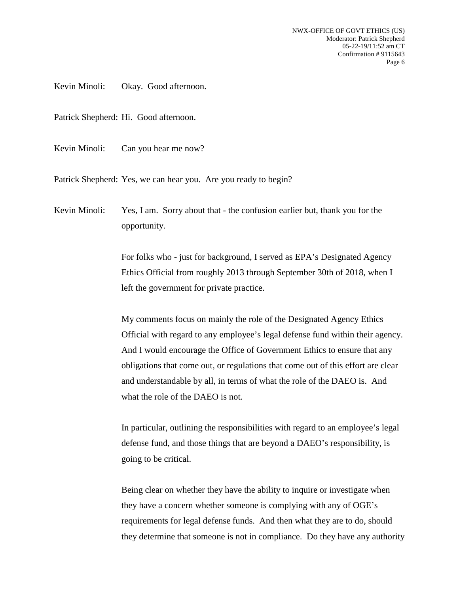Kevin Minoli: Okay. Good afternoon.

Patrick Shepherd: Hi. Good afternoon.

Kevin Minoli: Can you hear me now?

Patrick Shepherd: Yes, we can hear you. Are you ready to begin?

Kevin Minoli: Yes, I am. Sorry about that - the confusion earlier but, thank you for the opportunity.

> For folks who - just for background, I served as EPA's Designated Agency Ethics Official from roughly 2013 through September 30th of 2018, when I left the government for private practice.

My comments focus on mainly the role of the Designated Agency Ethics Official with regard to any employee's legal defense fund within their agency. And I would encourage the Office of Government Ethics to ensure that any obligations that come out, or regulations that come out of this effort are clear and understandable by all, in terms of what the role of the DAEO is. And what the role of the DAEO is not.

In particular, outlining the responsibilities with regard to an employee's legal defense fund, and those things that are beyond a DAEO's responsibility, is going to be critical.

Being clear on whether they have the ability to inquire or investigate when they have a concern whether someone is complying with any of OGE's requirements for legal defense funds. And then what they are to do, should they determine that someone is not in compliance. Do they have any authority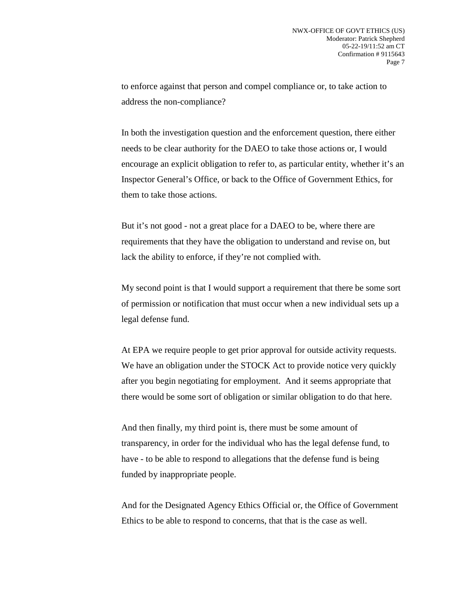to enforce against that person and compel compliance or, to take action to address the non-compliance?

In both the investigation question and the enforcement question, there either needs to be clear authority for the DAEO to take those actions or, I would encourage an explicit obligation to refer to, as particular entity, whether it's an Inspector General's Office, or back to the Office of Government Ethics, for them to take those actions.

But it's not good - not a great place for a DAEO to be, where there are requirements that they have the obligation to understand and revise on, but lack the ability to enforce, if they're not complied with.

My second point is that I would support a requirement that there be some sort of permission or notification that must occur when a new individual sets up a legal defense fund.

At EPA we require people to get prior approval for outside activity requests. We have an obligation under the STOCK Act to provide notice very quickly after you begin negotiating for employment. And it seems appropriate that there would be some sort of obligation or similar obligation to do that here.

And then finally, my third point is, there must be some amount of transparency, in order for the individual who has the legal defense fund, to have - to be able to respond to allegations that the defense fund is being funded by inappropriate people.

And for the Designated Agency Ethics Official or, the Office of Government Ethics to be able to respond to concerns, that that is the case as well.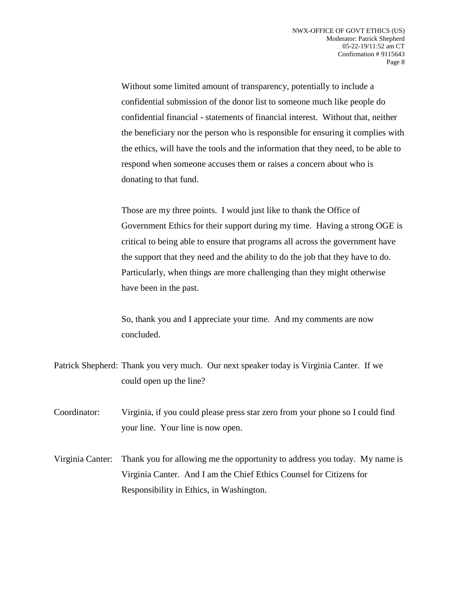Without some limited amount of transparency, potentially to include a confidential submission of the donor list to someone much like people do confidential financial - statements of financial interest. Without that, neither the beneficiary nor the person who is responsible for ensuring it complies with the ethics, will have the tools and the information that they need, to be able to respond when someone accuses them or raises a concern about who is donating to that fund.

Those are my three points. I would just like to thank the Office of Government Ethics for their support during my time. Having a strong OGE is critical to being able to ensure that programs all across the government have the support that they need and the ability to do the job that they have to do. Particularly, when things are more challenging than they might otherwise have been in the past.

So, thank you and I appreciate your time. And my comments are now concluded.

- Patrick Shepherd: Thank you very much. Our next speaker today is Virginia Canter. If we could open up the line?
- Coordinator: Virginia, if you could please press star zero from your phone so I could find your line. Your line is now open.
- Virginia Canter: Thank you for allowing me the opportunity to address you today. My name is Virginia Canter. And I am the Chief Ethics Counsel for Citizens for Responsibility in Ethics, in Washington.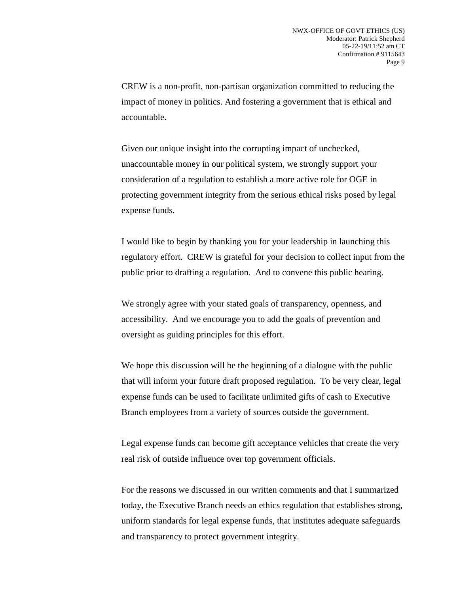CREW is a non-profit, non-partisan organization committed to reducing the impact of money in politics. And fostering a government that is ethical and accountable.

Given our unique insight into the corrupting impact of unchecked, unaccountable money in our political system, we strongly support your consideration of a regulation to establish a more active role for OGE in protecting government integrity from the serious ethical risks posed by legal expense funds.

I would like to begin by thanking you for your leadership in launching this regulatory effort. CREW is grateful for your decision to collect input from the public prior to drafting a regulation. And to convene this public hearing.

We strongly agree with your stated goals of transparency, openness, and accessibility. And we encourage you to add the goals of prevention and oversight as guiding principles for this effort.

We hope this discussion will be the beginning of a dialogue with the public that will inform your future draft proposed regulation. To be very clear, legal expense funds can be used to facilitate unlimited gifts of cash to Executive Branch employees from a variety of sources outside the government.

Legal expense funds can become gift acceptance vehicles that create the very real risk of outside influence over top government officials.

For the reasons we discussed in our written comments and that I summarized today, the Executive Branch needs an ethics regulation that establishes strong, uniform standards for legal expense funds, that institutes adequate safeguards and transparency to protect government integrity.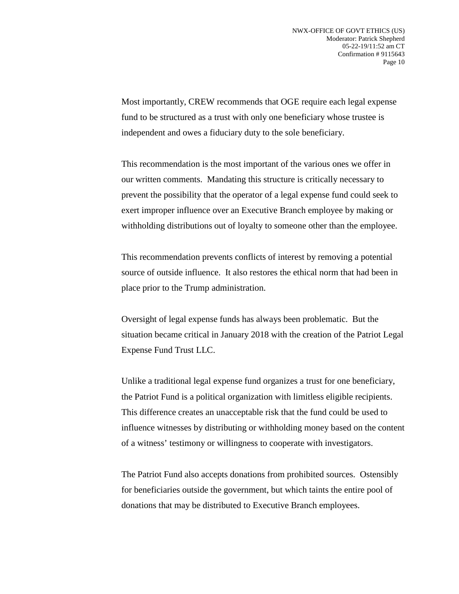Most importantly, CREW recommends that OGE require each legal expense fund to be structured as a trust with only one beneficiary whose trustee is independent and owes a fiduciary duty to the sole beneficiary.

This recommendation is the most important of the various ones we offer in our written comments. Mandating this structure is critically necessary to prevent the possibility that the operator of a legal expense fund could seek to exert improper influence over an Executive Branch employee by making or withholding distributions out of loyalty to someone other than the employee.

This recommendation prevents conflicts of interest by removing a potential source of outside influence. It also restores the ethical norm that had been in place prior to the Trump administration.

Oversight of legal expense funds has always been problematic. But the situation became critical in January 2018 with the creation of the Patriot Legal Expense Fund Trust LLC.

Unlike a traditional legal expense fund organizes a trust for one beneficiary, the Patriot Fund is a political organization with limitless eligible recipients. This difference creates an unacceptable risk that the fund could be used to influence witnesses by distributing or withholding money based on the content of a witness' testimony or willingness to cooperate with investigators.

The Patriot Fund also accepts donations from prohibited sources. Ostensibly for beneficiaries outside the government, but which taints the entire pool of donations that may be distributed to Executive Branch employees.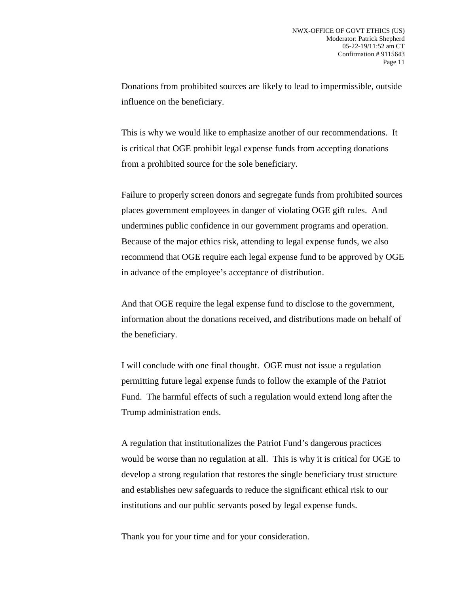Donations from prohibited sources are likely to lead to impermissible, outside influence on the beneficiary.

This is why we would like to emphasize another of our recommendations. It is critical that OGE prohibit legal expense funds from accepting donations from a prohibited source for the sole beneficiary.

Failure to properly screen donors and segregate funds from prohibited sources places government employees in danger of violating OGE gift rules. And undermines public confidence in our government programs and operation. Because of the major ethics risk, attending to legal expense funds, we also recommend that OGE require each legal expense fund to be approved by OGE in advance of the employee's acceptance of distribution.

And that OGE require the legal expense fund to disclose to the government, information about the donations received, and distributions made on behalf of the beneficiary.

I will conclude with one final thought. OGE must not issue a regulation permitting future legal expense funds to follow the example of the Patriot Fund. The harmful effects of such a regulation would extend long after the Trump administration ends.

A regulation that institutionalizes the Patriot Fund's dangerous practices would be worse than no regulation at all. This is why it is critical for OGE to develop a strong regulation that restores the single beneficiary trust structure and establishes new safeguards to reduce the significant ethical risk to our institutions and our public servants posed by legal expense funds.

Thank you for your time and for your consideration.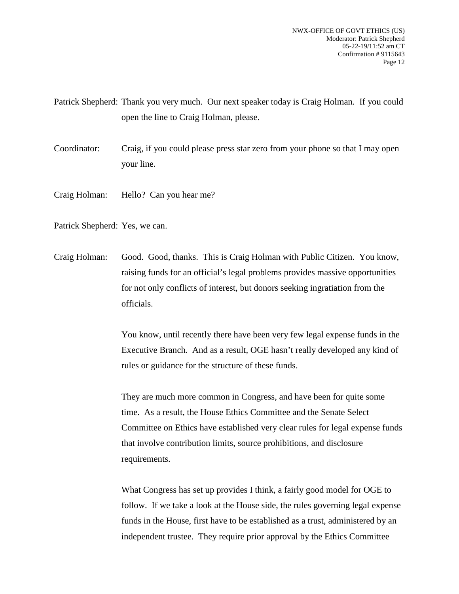Patrick Shepherd: Thank you very much. Our next speaker today is Craig Holman. If you could open the line to Craig Holman, please.

Coordinator: Craig, if you could please press star zero from your phone so that I may open your line.

Craig Holman: Hello? Can you hear me?

Patrick Shepherd: Yes, we can.

Craig Holman: Good. Good, thanks. This is Craig Holman with Public Citizen. You know, raising funds for an official's legal problems provides massive opportunities for not only conflicts of interest, but donors seeking ingratiation from the officials.

> You know, until recently there have been very few legal expense funds in the Executive Branch. And as a result, OGE hasn't really developed any kind of rules or guidance for the structure of these funds.

> They are much more common in Congress, and have been for quite some time. As a result, the House Ethics Committee and the Senate Select Committee on Ethics have established very clear rules for legal expense funds that involve contribution limits, source prohibitions, and disclosure requirements.

> What Congress has set up provides I think, a fairly good model for OGE to follow. If we take a look at the House side, the rules governing legal expense funds in the House, first have to be established as a trust, administered by an independent trustee. They require prior approval by the Ethics Committee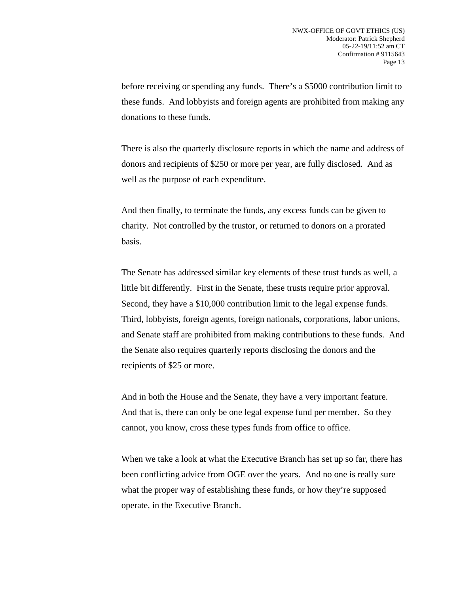before receiving or spending any funds. There's a \$5000 contribution limit to these funds. And lobbyists and foreign agents are prohibited from making any donations to these funds.

There is also the quarterly disclosure reports in which the name and address of donors and recipients of \$250 or more per year, are fully disclosed. And as well as the purpose of each expenditure.

And then finally, to terminate the funds, any excess funds can be given to charity. Not controlled by the trustor, or returned to donors on a prorated basis.

The Senate has addressed similar key elements of these trust funds as well, a little bit differently. First in the Senate, these trusts require prior approval. Second, they have a \$10,000 contribution limit to the legal expense funds. Third, lobbyists, foreign agents, foreign nationals, corporations, labor unions, and Senate staff are prohibited from making contributions to these funds. And the Senate also requires quarterly reports disclosing the donors and the recipients of \$25 or more.

And in both the House and the Senate, they have a very important feature. And that is, there can only be one legal expense fund per member. So they cannot, you know, cross these types funds from office to office.

When we take a look at what the Executive Branch has set up so far, there has been conflicting advice from OGE over the years. And no one is really sure what the proper way of establishing these funds, or how they're supposed operate, in the Executive Branch.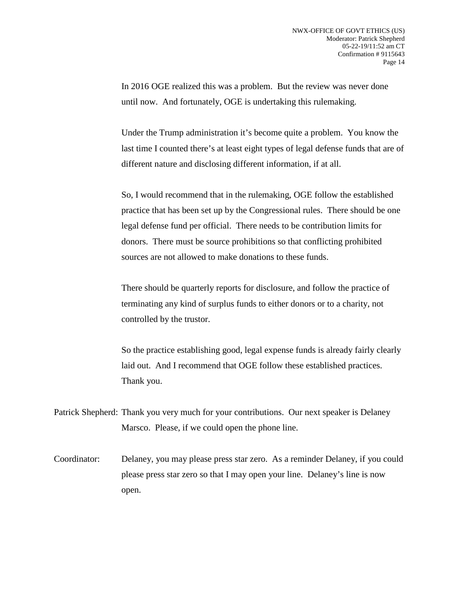In 2016 OGE realized this was a problem. But the review was never done until now. And fortunately, OGE is undertaking this rulemaking.

Under the Trump administration it's become quite a problem. You know the last time I counted there's at least eight types of legal defense funds that are of different nature and disclosing different information, if at all.

So, I would recommend that in the rulemaking, OGE follow the established practice that has been set up by the Congressional rules. There should be one legal defense fund per official. There needs to be contribution limits for donors. There must be source prohibitions so that conflicting prohibited sources are not allowed to make donations to these funds.

There should be quarterly reports for disclosure, and follow the practice of terminating any kind of surplus funds to either donors or to a charity, not controlled by the trustor.

So the practice establishing good, legal expense funds is already fairly clearly laid out. And I recommend that OGE follow these established practices. Thank you.

Patrick Shepherd: Thank you very much for your contributions. Our next speaker is Delaney Marsco. Please, if we could open the phone line.

Coordinator: Delaney, you may please press star zero. As a reminder Delaney, if you could please press star zero so that I may open your line. Delaney's line is now open.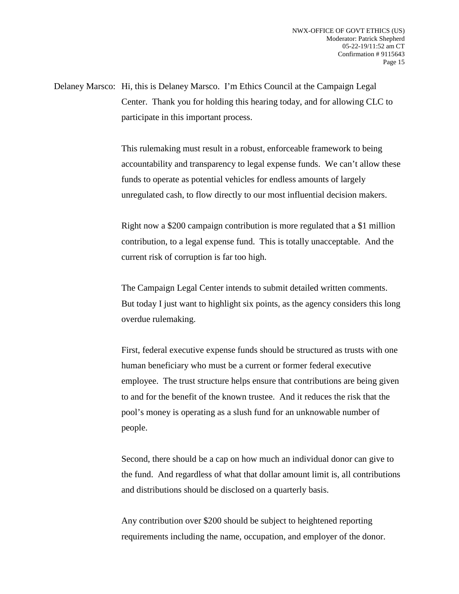Delaney Marsco: Hi, this is Delaney Marsco. I'm Ethics Council at the Campaign Legal Center. Thank you for holding this hearing today, and for allowing CLC to participate in this important process.

> This rulemaking must result in a robust, enforceable framework to being accountability and transparency to legal expense funds. We can't allow these funds to operate as potential vehicles for endless amounts of largely unregulated cash, to flow directly to our most influential decision makers.

Right now a \$200 campaign contribution is more regulated that a \$1 million contribution, to a legal expense fund. This is totally unacceptable. And the current risk of corruption is far too high.

The Campaign Legal Center intends to submit detailed written comments. But today I just want to highlight six points, as the agency considers this long overdue rulemaking.

First, federal executive expense funds should be structured as trusts with one human beneficiary who must be a current or former federal executive employee. The trust structure helps ensure that contributions are being given to and for the benefit of the known trustee. And it reduces the risk that the pool's money is operating as a slush fund for an unknowable number of people.

Second, there should be a cap on how much an individual donor can give to the fund. And regardless of what that dollar amount limit is, all contributions and distributions should be disclosed on a quarterly basis.

Any contribution over \$200 should be subject to heightened reporting requirements including the name, occupation, and employer of the donor.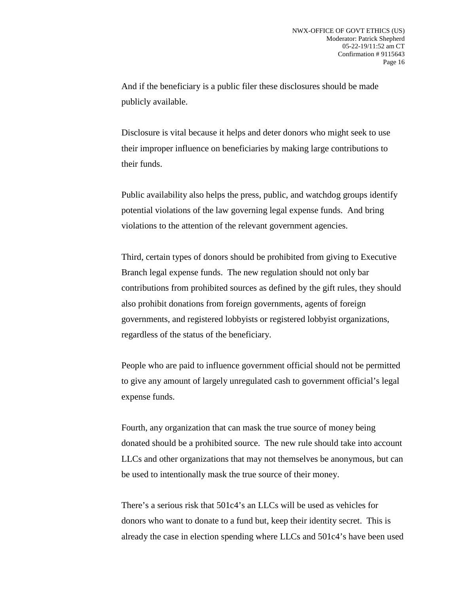And if the beneficiary is a public filer these disclosures should be made publicly available.

Disclosure is vital because it helps and deter donors who might seek to use their improper influence on beneficiaries by making large contributions to their funds.

Public availability also helps the press, public, and watchdog groups identify potential violations of the law governing legal expense funds. And bring violations to the attention of the relevant government agencies.

Third, certain types of donors should be prohibited from giving to Executive Branch legal expense funds. The new regulation should not only bar contributions from prohibited sources as defined by the gift rules, they should also prohibit donations from foreign governments, agents of foreign governments, and registered lobbyists or registered lobbyist organizations, regardless of the status of the beneficiary.

People who are paid to influence government official should not be permitted to give any amount of largely unregulated cash to government official's legal expense funds.

Fourth, any organization that can mask the true source of money being donated should be a prohibited source. The new rule should take into account LLCs and other organizations that may not themselves be anonymous, but can be used to intentionally mask the true source of their money.

There's a serious risk that 501c4's an LLCs will be used as vehicles for donors who want to donate to a fund but, keep their identity secret. This is already the case in election spending where LLCs and 501c4's have been used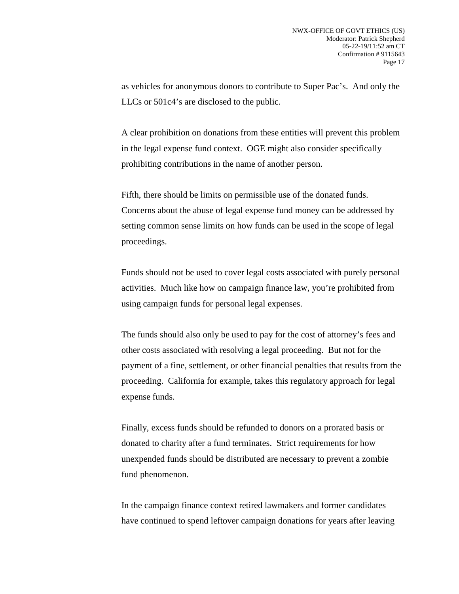as vehicles for anonymous donors to contribute to Super Pac's. And only the LLCs or 501c4's are disclosed to the public.

A clear prohibition on donations from these entities will prevent this problem in the legal expense fund context. OGE might also consider specifically prohibiting contributions in the name of another person.

Fifth, there should be limits on permissible use of the donated funds. Concerns about the abuse of legal expense fund money can be addressed by setting common sense limits on how funds can be used in the scope of legal proceedings.

Funds should not be used to cover legal costs associated with purely personal activities. Much like how on campaign finance law, you're prohibited from using campaign funds for personal legal expenses.

The funds should also only be used to pay for the cost of attorney's fees and other costs associated with resolving a legal proceeding. But not for the payment of a fine, settlement, or other financial penalties that results from the proceeding. California for example, takes this regulatory approach for legal expense funds.

Finally, excess funds should be refunded to donors on a prorated basis or donated to charity after a fund terminates. Strict requirements for how unexpended funds should be distributed are necessary to prevent a zombie fund phenomenon.

In the campaign finance context retired lawmakers and former candidates have continued to spend leftover campaign donations for years after leaving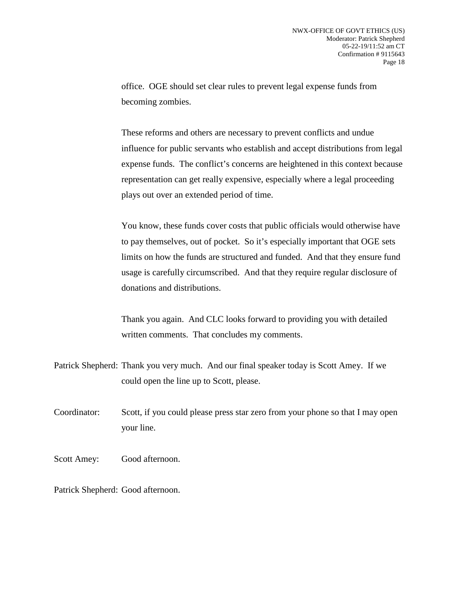office. OGE should set clear rules to prevent legal expense funds from becoming zombies.

These reforms and others are necessary to prevent conflicts and undue influence for public servants who establish and accept distributions from legal expense funds. The conflict's concerns are heightened in this context because representation can get really expensive, especially where a legal proceeding plays out over an extended period of time.

You know, these funds cover costs that public officials would otherwise have to pay themselves, out of pocket. So it's especially important that OGE sets limits on how the funds are structured and funded. And that they ensure fund usage is carefully circumscribed. And that they require regular disclosure of donations and distributions.

Thank you again. And CLC looks forward to providing you with detailed written comments. That concludes my comments.

Patrick Shepherd: Thank you very much. And our final speaker today is Scott Amey. If we could open the line up to Scott, please.

Coordinator: Scott, if you could please press star zero from your phone so that I may open your line.

Scott Amey: Good afternoon.

Patrick Shepherd: Good afternoon.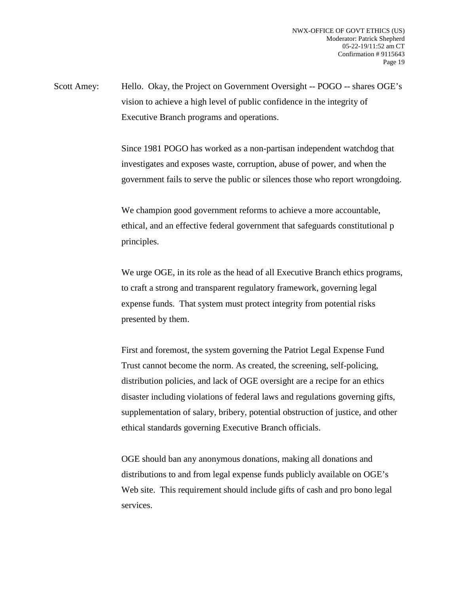Scott Amey: Hello. Okay, the Project on Government Oversight -- POGO -- shares OGE's vision to achieve a high level of public confidence in the integrity of Executive Branch programs and operations.

> Since 1981 POGO has worked as a non-partisan independent watchdog that investigates and exposes waste, corruption, abuse of power, and when the government fails to serve the public or silences those who report wrongdoing.

We champion good government reforms to achieve a more accountable, ethical, and an effective federal government that safeguards constitutional p principles.

We urge OGE, in its role as the head of all Executive Branch ethics programs, to craft a strong and transparent regulatory framework, governing legal expense funds. That system must protect integrity from potential risks presented by them.

First and foremost, the system governing the Patriot Legal Expense Fund Trust cannot become the norm. As created, the screening, self-policing, distribution policies, and lack of OGE oversight are a recipe for an ethics disaster including violations of federal laws and regulations governing gifts, supplementation of salary, bribery, potential obstruction of justice, and other ethical standards governing Executive Branch officials.

OGE should ban any anonymous donations, making all donations and distributions to and from legal expense funds publicly available on OGE's Web site. This requirement should include gifts of cash and pro bono legal services.